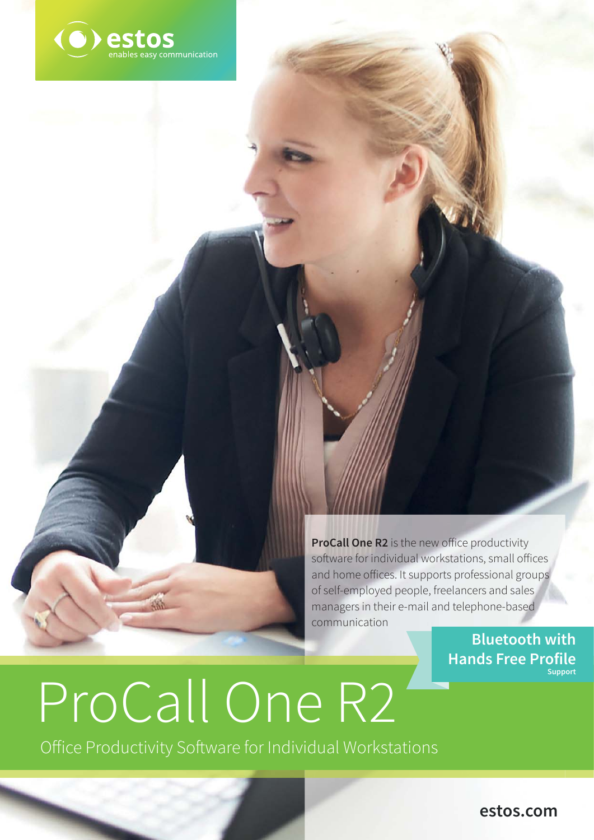

**ProCall One R2** is the new office productivity software for individual workstations, small offices and home offices. It supports professional groups of self-employed people, freelancers and sales managers in their e-mail and telephone-based communication

**Bluetooth with Hands Free Profile Support**

# ProCall One R2

Office Productivity Software for Individual Workstations

**estos.com**